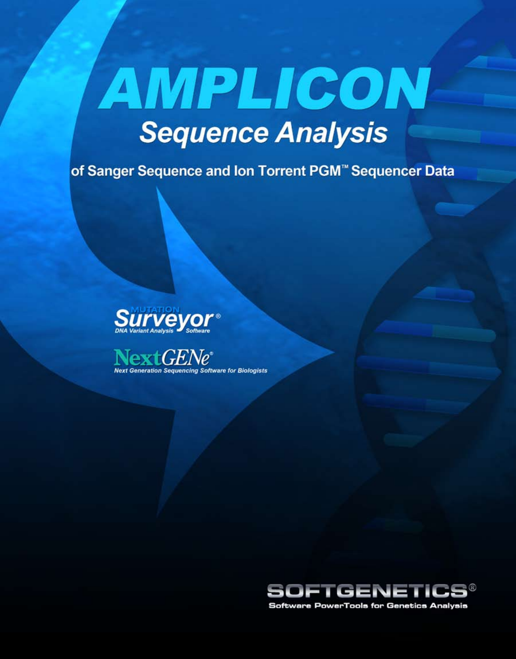# AMPLICON **Sequence Analysis**

of Sanger Sequence and Ion Torrent PGM<sup>™</sup> Sequencer Data







**Software PowerTools for Genetics Analysis**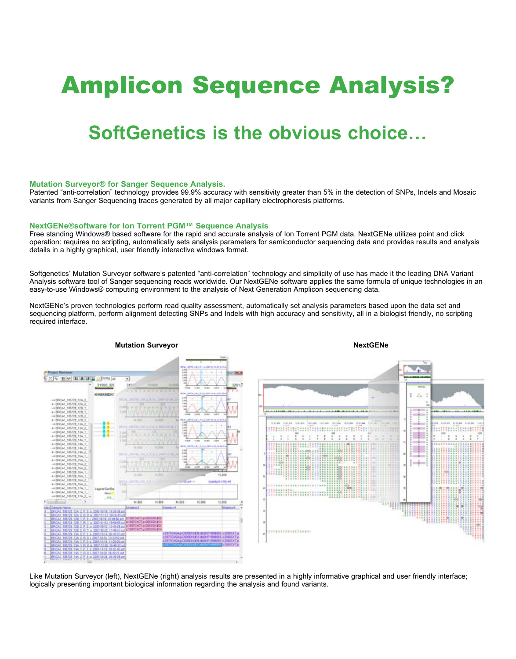# Amplicon Sequence Analysis?

# **SoftGenetics is the obvious choice…**

### **Mutation Surveyor® for Sanger Sequence Analysis.**

Patented "anti-correlation" technology provides 99.9% accuracy with sensitivity greater than 5% in the detection of SNPs, Indels and Mosaic variants from Sanger Sequencing traces generated by all major capillary electrophoresis platforms.

#### **NextGENe®software for Ion Torrent PGM™ Sequence Analysis**

Free standing Windows® based software for the rapid and accurate analysis of Ion Torrent PGM data. NextGENe utilizes point and click operation: requires no scripting, automatically sets analysis parameters for semiconductor sequencing data and provides results and analysis details in a highly graphical, user friendly interactive windows format.

Softgenetics' Mutation Surveyor software's patented "anti-correlation" technology and simplicity of use has made it the leading DNA Variant Analysis software tool of Sanger sequencing reads worldwide. Our NextGENe software applies the same formula of unique technologies in an easy-to-use Windows® computing environment to the analysis of Next Generation Amplicon sequencing data.

NextGENe's proven technologies perform read quality assessment, automatically set analysis parameters based upon the data set and sequencing platform, perform alignment detecting SNPs and Indels with high accuracy and sensitivity, all in a biologist friendly, no scripting required interface.



Like Mutation Surveyor (left), NextGENe (right) analysis results are presented in a highly informative graphical and user friendly interface; logically presenting important biological information regarding the analysis and found variants.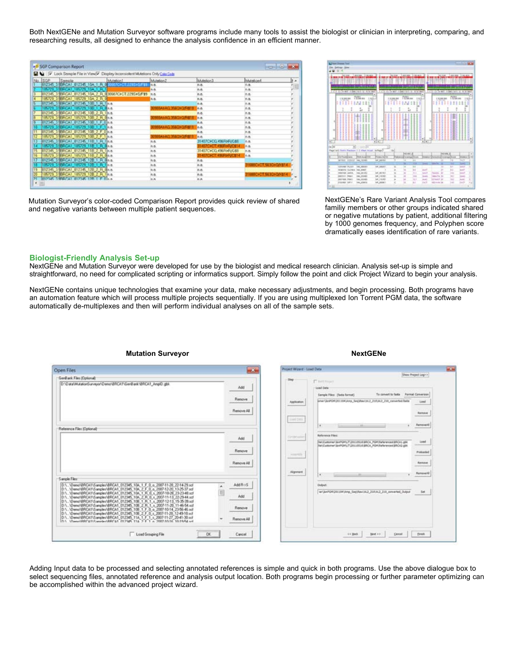Both NextGENe and Mutation Surveyor software programs include many tools to assist the biologist or clinician in interpreting, comparing, and researching results, all designed to enhance the analysis confidence in an efficient manner.

| No SGP       | Die TV Lock Sample File in View/V Display Inconsistent Mutations Only Cala Cade               |      | Mutetion2                            | Mutericin <sub>3</sub> | h e<br>Mutation-t          |
|--------------|-----------------------------------------------------------------------------------------------|------|--------------------------------------|------------------------|----------------------------|
|              | SGP Sample Manual Manual                                                                      | 59 W | 活血                                   | n.a.                   | 泊盘                         |
|              | 18572 10A 1                                                                                   |      | <b>BA</b>                            | n.a                    | 外表                         |
|              | 0121452 906CA1_012145_10A_2_R_0 01607C3CT225S35/F13_n.o.<br> 185729_1.666CA1_185729_10A_2_R_0 |      |                                      | n.a                    | na                         |
|              |                                                                                               |      |                                      | na                     | n.a.                       |
|              | <b>TRANSPORTATIONS AND LOCATED</b>                                                            |      |                                      | n.a.                   | れ長                         |
|              | CAL 185729_106_1_R_0 n.e.                                                                     |      | 1985A3 AD 35603 O/R\$13              | n.n.                   | n.n                        |
|              | 012345_3.9BRCA1_012345_10B_2_R_1ma.                                                           |      |                                      | n.0                    | れな                         |
|              | 185729 3 SERCAT 185729 108 2 R One.                                                           |      | <b>BIGASAG XAQSQAR\$18</b>           | n.a                    | na                         |
|              | 0123451 EFCAL 0123452103 1 F.O.No.                                                            |      |                                      | n <sub>a</sub>         | na                         |
|              | 85729 108 1 F 1 n a                                                                           |      | <b>1990AXAG 356CD OVERES</b>         | n.e.                   | na                         |
|              | 012345 J SERCAT 012345 108 2 F 0 n a                                                          |      |                                      | n.a.                   | れき                         |
|              | 185729 3 SERCAT 185729 108 2 F 1 n a                                                          |      | <b><i>PRILAS AG 2560 SO/RS11</i></b> | n.e.                   | na                         |
|              | 012345 3 SERCAT 012345 11B 1 R 1m c                                                           |      | 推查                                   | 31407CHCG 496FoFUG\$5  | na                         |
| 185729_3.9BR | 185729 11B 1 R 0 n a                                                                          |      | n.n.                                 | 31407CHCT,49ERbR/C\$14 | n.a.                       |
|              | 012345 3 EFICAL 012345 118 2 B Unn                                                            |      | n n                                  | 31407CxCG, 496FoFVG\$8 | n.a.                       |
|              | 105729_3 SERCAT_105729_11B_2_R_0 n.e.                                                         |      | n.e.                                 | 31407CHCT, 496FDFVC814 | na                         |
|              | 012345 198RCAI 012345 128 1 R Gna                                                             |      | na.                                  | n.a.                   |                            |
|              | 85729 19BROAT<br>185729 12B 1 R 1nm                                                           |      | мã                                   | n.a                    | <b>HOSCACT SEXINO/NSTA</b> |
|              | 012345 3 EFICA1 012345 128 2 R 0nn                                                            |      | ha                                   | n.a                    |                            |
|              | 185729_3 SERICA1_185729_12B_2_R_1in.e.                                                        |      | A.B.                                 | n.a.                   | 31608C>CT.563G>QA\\$14     |
|              | 012345 1996CA1 012345 128 1 F 0 n n                                                           |      | $\overline{a}$                       | nA                     |                            |

Mutation Surveyor's color-coded Comparison Report provides quick review of shared and negative variants between multiple patient sequences.

|                    | щu,<br>1,618,000<br>1106-018                                            |                                | <b>NETWAR</b> | 3,412,000                 | 3196, 4510        |                                               |                      | <b>MIT TO BE</b> |                | 1494, 998  2, 199, 441 |
|--------------------|-------------------------------------------------------------------------|--------------------------------|---------------|---------------------------|-------------------|-----------------------------------------------|----------------------|------------------|----------------|------------------------|
|                    |                                                                         |                                |               |                           |                   |                                               |                      |                  |                |                        |
|                    |                                                                         |                                |               |                           |                   |                                               |                      |                  |                |                        |
|                    |                                                                         |                                |               |                           |                   |                                               |                      |                  |                |                        |
|                    | 1.1.1.2.1.3 mode 11.5m<br>38.30                                         | illin least<br>٠               |               |                           | 15 In 14th D      | ٠                                             | 111 D Telect 1198    |                  | 191            | 38.361                 |
|                    | 76% ex<br>1 52 566 966<br>vi<br>i.                                      |                                | 12, 204, 344  | <b>Officer</b><br>t,<br>Ĕ |                   | $16.5 - 1$<br>õ<br>ŝ<br>٠<br>Ê<br>×<br>۰<br>× |                      | 1 52 566 566     | <b>Citizen</b> | t                      |
|                    |                                                                         |                                |               |                           |                   |                                               |                      |                  |                |                        |
|                    |                                                                         | ï<br>×                         |               |                           |                   | t<br>٠                                        |                      |                  |                |                        |
|                    |                                                                         |                                |               |                           |                   |                                               |                      |                  |                |                        |
|                    | ×<br>in Im<br>Fast Lat Easts Facture 1 2 Pain 14 at<br><b>FRANCISCO</b> | to Figure<br><b>Green ALCA</b> |               | <b>LEWIS</b>              |                   |                                               |                      | 141496.8         |                | ومعدد                  |
|                    | To Franklin berg<br>armes nesear<br><b>IMA 15740</b>                    | Ist: Jasher                    |               | $\rightarrow$             | <b>SI</b>         |                                               |                      | ÷                | $^{16}$        | $-$                    |
|                    |                                                                         |                                |               | Ħ                         |                   | −                                             | 19405                | ٠                | Ħ              | ٠<br>m                 |
|                    | <b>IAL MERCE</b><br><b>SERVALE PLOT</b>                                 | IVC ABULT                      | ÷             | ч                         | Ħ<br>ш            |                                               |                      | u                | π              | <b>Sept</b>            |
|                    | <b>HALBRER</b><br><b>HERE</b><br>GLONEAL                                |                                | $\alpha$      | ×                         | w                 | mon <sup>1</sup>                              |                      | ×                | a i            | launt?                 |
|                    | MAX DRIVELY<br>ventors.<br><b>SEE NOT</b>                               |                                | u             | ×                         |                   |                                               | <b>Tomaton</b>       | ×                | 141            | <b>Sept</b>            |
|                    | IN44, 2-53 8610<br><b>PAGE</b><br>34111111                              | HF_RTR1<br>145, 116, 1971      | ×             | w                         | <b>TTE</b><br>100 | test<br><b>Sential</b>                        | <b>Sales Fig. 30</b> |                  | 181            | <b>Seat</b>            |
| æ<br>Chr. Les<br>٠ | <b>DETECT FEET</b><br><b>ISAA STERIES</b>                               | NUMBER                         | ٠             | H                         | 34.7              | Av40                                          | <b>REMARK AV</b>     |                  | <b>SET</b>     | AsAC.                  |

NextGENe's Rare Variant Analysis Tool compares familiy members or other groups indicated shared or negative mutations by patient, additional filtering by 1000 genomes frequency, and Polyphen score dramatically eases identification of rare variants.

#### **Biologist-Friendly Analysis Set-up**

NextGENe and Mutation Surveyor were developed for use by the biologist and medical research clinician. Analysis set-up is simple and straightforward, no need for complicated scripting or informatics support. Simply follow the point and click Project Wizard to begin your analysis.

NextGENe contains unique technologies that examine your data, make necessary adjustments, and begin processing. Both programs have an automation feature which will process multiple projects sequentially. If you are using multiplexed Ion Torrent PGM data, the software automatically de-multiplexes and then will perform individual analyses on all of the sample sets.

| Open Files                                                                                                                                                                                                                           |        | $\mathbf{r}$                | Project Wizard - Load Data      |                                                                                                                                                                                                                                       |
|--------------------------------------------------------------------------------------------------------------------------------------------------------------------------------------------------------------------------------------|--------|-----------------------------|---------------------------------|---------------------------------------------------------------------------------------------------------------------------------------------------------------------------------------------------------------------------------------|
| GenBank Files (Optional)                                                                                                                                                                                                             |        |                             |                                 | Show Project Lagr >                                                                                                                                                                                                                   |
| D.\Data\MutationSurveyor\Demo\BRICAT\GenBank\BRICAT_AmplD.gbk                                                                                                                                                                        |        | Add<br>Renove<br>Renove All | 300<br>Application<br>Link Date | <b>IT bill finant</b><br>Load Date<br>To convert to fasta Format Conversion<br>Sample Files: (Tasta format)<br>enerUpdCM3EL19KAns_Sec/Rev/AL2_20FAL2_230_conarhed.facts<br>Lond<br>Earnston<br><b><i><u>START CONTRACTORY</u></i></b> |
| Reference Files (Optional)                                                                                                                                                                                                           |        |                             |                                 | Famoveril<br>٠<br>The property of the con-                                                                                                                                                                                            |
|                                                                                                                                                                                                                                      |        | Add                         | Circletowne                     | <b>Reference Files:</b><br>INVIOLENTAMPERISTOSUISSON POPULINENTIARCAS<br>Load<br>Nel Customer (SHPCM); TCN110506/ARCA PCM/Aeferences/ARCA2.pbk                                                                                        |
|                                                                                                                                                                                                                                      |        | Renove                      | A DOMESTIC                      | Prefonded                                                                                                                                                                                                                             |
|                                                                                                                                                                                                                                      |        | Renove At                   | <b>Algebra</b>                  | Remove<br>Ferreve/G<br>٠<br>And the Contract of the Contract of                                                                                                                                                                       |
| Sample Films                                                                                                                                                                                                                         |        |                             |                                 |                                                                                                                                                                                                                                       |
| D.\.\Denc\ERCA1\Sanples\BRCA1_012345_10A_1_F_0_o_2007-11-28_22-14-29.ed<br>D.\\Deno\&RCA1\Sanples\BRCA1_012345_10A_2_F_0_o_2007-12-20_13-25-37.scf<br>D.1. \DenuV&RCAT\Sample:\BRCAT_012345_10A_1_R_0_x_2007-10-28_23-23-48.xd       | ۰<br>E | AddR->S                     |                                 | Dutput:<br>w/JanPGR201184VAmp_SepWaw/AL2_210VA12_215_converted_Output<br>Set                                                                                                                                                          |
| D.1. \Demo!&RCA1\Sangles\BRCA1_012345_10A_2_R_D_t_2007-11-13_22-29-44.scf<br>D.1. \Demo\BRCA1\Sample:\BRCA1_012345_108_1_R_1 x_2007-12-13_15-35-39.xd                                                                                |        | Add                         |                                 |                                                                                                                                                                                                                                       |
| D.1. \Demo\&RCA1\Samples\BRCA1_012345_108_2_R_1_v. 2007-11-20_11-46-54.scf<br>D.\. \Demo\SRCA1\Samples\BRCA1_012345_10B_1_F_0_o_2007-10-14_23-56-46.scf<br>D.1. \Demo\BRCA1\Samples\BRCA1_012345_10B_2_F_0_s_2007-11-20_12-49-10.scl |        | Renove                      |                                 |                                                                                                                                                                                                                                       |
| D.V. \Demo\BRICAT\Samples\BRICAT_012345_11A_1_F_1_s_2007-11-27_20-41-30.scf<br>ID.V. \Demo\BRICAT\Sample-\BRICAT_012345_11A_2_E_1_n_2012-titl-5_10.19-54_ud                                                                          |        | Remove All                  |                                 |                                                                                                                                                                                                                                       |
| Load Grouping File                                                                                                                                                                                                                   | DK.    | Cancel                      |                                 | Finals.<br>45.800<br><b>Bed 22</b><br>Centel                                                                                                                                                                                          |

**Mutation Surveyor NextGENe** 

## Adding Input data to be processed and selecting annotated references is simple and quick in both programs. Use the above dialogue box to select sequencing files, annotated reference and analysis output location. Both programs begin processing or further parameter optimizing can be accomplished within the advanced project wizard.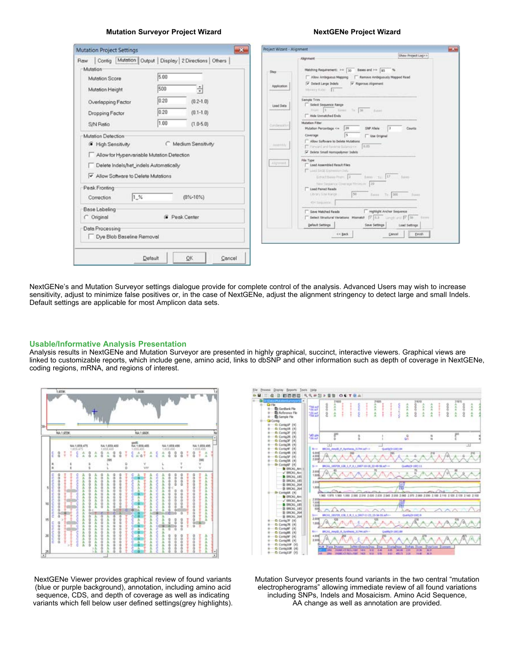#### **Mutation Surveyor Project Wizard NextGENe Project Wizard NextGENe Project Wizard**

|                                                                                                                            |      | $\mathbf{a}$         | Project Wizant - Alignment |                                                                                                                                                                                     |
|----------------------------------------------------------------------------------------------------------------------------|------|----------------------|----------------------------|-------------------------------------------------------------------------------------------------------------------------------------------------------------------------------------|
| Contig Mutation Output   Display   2 Directions   Others<br>Raw                                                            |      |                      |                            | Show Project Log >><br>Allenment                                                                                                                                                    |
| Mutation                                                                                                                   | 5.00 |                      | Shep                       | Matching Requirement: >= 10 Bases and >= 10 %<br>Ramove Ambiguously Mapped Read<br>Allow Ambiguous Mapping                                                                          |
| Mutation Score                                                                                                             |      |                      | Application                | P Detect Large Indels<br>T Rigorous Alignment                                                                                                                                       |
| Mutation Height                                                                                                            | 500  | ÷                    |                            | Money Rate IT                                                                                                                                                                       |
| Overlapping Factor                                                                                                         | 0.20 | $(0.2 - 1.0)$        | Lead Data                  | Sample Trim<br>Select Sequence Range                                                                                                                                                |
| Dropping Factor                                                                                                            | 0.20 | $(0.1 - 1.0)$        |                            | From 1 Long to 20 Long<br><sup>1</sup> Hide Unmatched Ends                                                                                                                          |
| S/N Ratio                                                                                                                  | 1.00 | $(1.0 - 5.0)$        | Continuation               | <b>Mutation Filter</b><br>Mutation Percentage <= 20<br>SNP Allele<br>Counts                                                                                                         |
| Mutation Detection                                                                                                         |      |                      |                            | Coverage<br><b>T</b> Use Original<br>Allow Suffouers to Delete Mutations                                                                                                            |
| F High Sensitivity                                                                                                         |      | Medium Sensitivity   | Assembly                   | 16.85<br>E. Forward and Reviews Ballance (v.<br>T Delete Small Homopolymer Indels                                                                                                   |
| Allow for Hypervariable Mutation Detection<br>Delete Indels/het_indels Automatically<br>Allow Software to Delete Mutations |      |                      | Algressed.                 | File Type<br><sup>1</sup> Load Assembled Result Files<br>[7] Like Like Determentaty<br>Education from 1 Same 10 Same                                                                |
| Peak Fronting<br>1.%<br>Correction                                                                                         |      | $(0\% - 10\%)$       |                            | New Digital car Operage Mexican 120<br>Load Parent Reads<br>50<br><b>Library Site Randel</b><br>Sausa Tu- 300<br><b>Bases</b><br>454 Sank Art Kir.                                  |
| <b>Base Labeling</b><br>C Original                                                                                         |      | <b>G</b> Peak Center |                            | Highlight Anchor Sequence<br>Save Matched Reads<br>T Detect Structural Verletions Mometch  7   0.3 Langel and  7   58   0.000<br>Default Settings<br>Load Settings<br>Save Settings |

NextGENe's and Mutation Surveyor settings dialogue provide for complete control of the analysis. Advanced Users may wish to increase sensitivity, adjust to minimize false positives or, in the case of NextGENe, adjust the alignment stringency to detect large and small Indels. Default settings are applicable for most Amplicon data sets.

#### **Usable/Informative Analysis Presentation**

Analysis results in NextGENe and Mutation Surveyor are presented in highly graphical, succinct, interactive viewers. Graphical views are linked to customizable reports, which include gene, amino acid, links to dbSNP and other information such as depth of coverage in NextGENe, coding regions, mRNA, and regions of interest.





NextGENe Viewer provides graphical review of found variants (blue or purple background), annotation, including amino acid sequence, CDS, and depth of coverage as well as indicating variants which fell below user defined settings(grey highlights). Mutation Surveyor presents found variants in the two central "mutation electropherograms" allowing immediate review of all found variations including SNPs, Indels and Mosaicism. Amino Acid Sequence, AA change as well as annotation are provided.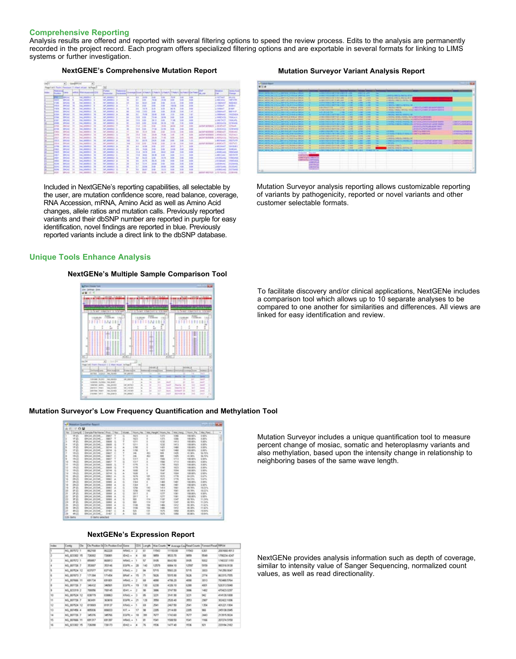#### **Comprehensive Reporting**

Analysis results are offered and reported with several filtering options to speed the review process. Edits to the analysis are permanently recorded in the project record. Each program offers specialized filtering options and are exportable in several formats for linking to LIMS systems or further investigation.

#### **NextGENE's Comprehensive Mutation Report Mutation Surveyor Variant Analysis Report**



Included in NextGENe's reporting capabilities, all selectable by the user, are mutation confidence score, read balance, coverage, RNA Accession, mRNA, Amino Acid as well as Amino Acid changes, allele ratios and mutation calls. Previously reported variants and their dbSNP number are reported in purple for easy identification, novel findings are reported in blue. Previously reported variants include a direct link to the dbSNP database.

#### **Unique Tools Enhance Analysis**

#### **NextGENe's Multiple Sample Comparison Tool**



#### **Mutation Surveyor's Low Frequency Quantification and Methylation Tool**

|             | Conty E : Senate Freiher |               |    | \$5,04 |             |     | <b>Bitantic</b> | Mall Prierce  | Tepen, Pa.     | Mat Paulo       |  |
|-------------|--------------------------|---------------|----|--------|-------------|-----|-----------------|---------------|----------------|-----------------|--|
| u<br>×      | SHOUL BENE.              |               |    |        | <b>NC</b>   |     | 1379            | 1244          | 100,00%        | 6 80%           |  |
|             | SPON BUNC.               | 10EP          |    |        | <b>HES</b>  |     | 1,673.          | <b>HAR</b>    | 100,00%        | <b>IL BEFIG</b> |  |
|             | SPOKE BESITE             | 50686         |    |        | 1216        |     | 1237            | 148.5         | 100.00%        | 1.90%           |  |
| 评出          | BROAT BIENE              | <b>SIMON</b>  |    |        | tire        |     | <b>HEMI</b>     | 1473          | <b>ESEMPL</b>  | it bers         |  |
|             | SPICAL ALCOHOL           | McFond        |    |        |             |     | 1.421           | <b>I</b> stat | vid men.       | <b>8.98%</b>    |  |
| 建設          | DROU BENE                |               |    |        |             |     | <b>Latt</b>     | <b>HEL</b>    | 3.00 SEP/L     | 3.00%           |  |
| Hym         | <b>DICAL ROAD</b>        | <b>MALT</b>   |    |        |             |     | man             | 1 sch         | 41,30%         | 64,70%          |  |
| 1942        | SRCAL 81298              |               |    |        |             |     |                 | 143           | 41,38%         | <b>BE</b> 70%   |  |
| 19402       | BRONT BESIDE             | <b>MALL</b>   |    |        | ian         |     |                 | 111.3         | <b>VIGHTS</b>  | it bers.        |  |
|             | DROAD ANDREW             | tout P        |    |        | tier        |     |                 | <b>LPLB</b>   | <b>VM-MEN</b>  | 3.50%           |  |
| 1812        | DROU BIDA                | 30615         |    |        | 1,119       |     |                 | tizi          | 100,005        | 8,50%           |  |
| 18407       | SHEEL ENDING             | <b>STATE</b>  |    |        | <b>LIVE</b> |     |                 | HEL           | 100 MILL       | 8,99%           |  |
| 184.0       | DROUT BORD               |               |    |        | 11.0        |     |                 | 11ne          | 100,005        | <b>Lists</b>    |  |
|             | BROAD BIDDIE             | 30744         |    |        | 11/4        |     |                 | <b>TESH</b>   | VISE INDIV.    | it befra.       |  |
|             | <b>JACKI ACHIE</b>       | <b>MALL</b>   |    |        | tin         |     |                 | 1776          | \$4,23%        | EATL            |  |
|             | IRCAI 81234L             | m             |    |        | 1479        |     |                 | 1,77%         | 14.73%         | <b>LUS</b>      |  |
|             | MAGAZ (TEDAK             | 10461         |    |        | tisk        |     |                 | 140           | 120,005        | <b>E SITS</b>   |  |
|             | <b>IRCAL BIZIRL</b>      | 30904         |    |        | tias        |     |                 | <b>Laid</b>   | 100 SEV        | <b>E MPS</b>    |  |
|             | <b>BROU 81266</b>        | 30802         |    |        | izia        |     | <b>ALA</b>      | <b>IAKI</b>   | <b>RE78%</b>   | 10,22%          |  |
|             | <b>JRCAL BIDK</b>        | 32962         |    |        |             |     |                 | <b>ISE</b>    | #385           | <b>HEATS</b>    |  |
|             | BROAD BIDDIE             | <b>SCHOOL</b> |    |        |             |     |                 | <b>Y</b> SH   | 100,005        | <b>E SETU</b>   |  |
|             | BROAD BIZDIE             | <b>KANA</b>   |    |        |             |     | 1233            |               | <b>HALBERG</b> | <b>KSPL</b>     |  |
|             | <b>BROAD RIZINE</b>      |               |    |        |             | 114 | w               |               | 88,76%         | 11.24%          |  |
|             | SECAL STEAR              |               |    |        |             | 11e |                 |               | 48.76%         | <b>HUML</b>     |  |
| <b>WILD</b> | MON. HIM.                | $-$           |    |        | <b>H</b>    |     | m               | <b>HOLD</b>   | 16,78%         | <b>HER</b>      |  |
|             | <b>INGAL BEEN.</b>       |               |    |        | <b>IFR</b>  |     |                 | нı            | <b>DRS</b>     | 11,676          |  |
|             | BRGAT 012340             | 31,407        | ċ. |        | <b>KIS</b>  |     |                 |               | <b>ELISCY</b>  | <b>Hilbert</b>  |  |
|             | BROAL ASSAULT            | 39,407        | ×  |        | trs         | 136 | isni            | m             | 95.06%         | 19.64%          |  |

#### **NextGENe's Expression Report**

| Index | Contico       | D'w |        | Che Position SAChe Position End Game |              |           | CDS Langh     | <b>Max Counts</b> | W Average CourRent County Toward Read RPOA |       |      |               |
|-------|---------------|-----|--------|--------------------------------------|--------------|-----------|---------------|-------------------|--------------------------------------------|-------|------|---------------|
|       | NG 007572 1   |     | 062168 | 062228                               | NAME: y      | u         | 61            | 17543             | 11153.00                                   | 11543 | 6361 | E199 DAIRWOOD |
|       | NG 023302 15  |     | 726002 | 726067                               | IDAC: +      | ×         | 65            | sess              | 9533.70                                    | 5055  | 5549 | 1790234.4347  |
|       | NG_007572 1   |     | 059357 | C10030                               | NNAS: +      |           | 52            | 9105              | 8643.50                                    | 9105. | 5002 | 1740037 11951 |
|       | NG 007736 7   |     | 353007 | 252146                               | EG/R +       | œ         | 140           | 12579             | 6004.10                                    | 12597 | 5559 | 902218.9130   |
|       | NG. 007524 12 |     | 637077 | 837160                               | KRAS: +      | œ         | 94            | 5715              | 5503.20                                    | 5715  | 3003 | 741250.9047   |
|       | NG.007673 7   |     | 171384 | 171454                               | <b>BRAF:</b> | 15        | 71            | 555               | 5515.50                                    | 5626  | 2774 | 063315.7555   |
|       | NG 007066 11  |     | 691734 | stendon                              | HAVE .       |           | 68            | 4293              | 4706, 20                                   | 4050  | 3013 | 301400.5764   |
|       | NG 007726 7   |     | 346432 | 3467567                              | EGFR: +      | <b>IS</b> | 130           | 6230              | 4326.90                                    | 6290  | 4928 | 526313.5840   |
|       | NG_623319 2   |     | 700056 | 700145                               | <b>取り</b> +  | o         | 90            | 3000              | 3747.50                                    | 300K  | 1482 | 470423.0297   |
| 10    | NG 007524 12  |     | 030779 | 030063                               | KRAS: +      |           | on.           | 3238              | 2141.90                                    | 3231  | 90   | 414139-1000   |
| w     | NG 007726 7   |     | 363451 | 363610                               | EGFR: +      | ize       | 129           | 2050              | 2520-40                                    | 2553  | 2907 | 302422.1006   |
| 12    | NG. 007524 12 |     | 019069 | 819137                               | KRAS: +      |           | <b>CS</b>     | 2541              | 2467.50                                    | 2541  | 1354 | 401221.1904   |
| tä.   | NG 007456 4   |     | 805806 | 006003                               | KIT. +       | 12        | ×             | 2305              | 2114.00                                    | 2205  | W6   | 245138.0945   |
| 14    | NG 007736 7   |     | 345376 | 345766                               | $0.07R +$    | 18        | 398           | 7677              | 1743.60                                    | 7677  | 3443 | 213915-9024   |
| 15    | NG. 007006 11 |     | 691317 | 691,357                              | HRAS: +      |           | 81            | 1541              | 1508.50                                    | 1541  | 1106 | 207274,5150   |
| til   | NG 623302 15  |     | 726298 | 726173                               | ID60: +      | ٠         | $\mathcal{H}$ | 1536              | 1477.40                                    | 15.36 | 101  | 200194-2182   |



Mutation Surveyor analysis reporting allows customizable reporting of variants by pathogenicity, reported or novel variants and other customer selectable formats.

To facilitate discovery and/or clinical applications, NextGENe includes a comparison tool which allows up to 10 separate analyses to be compared to one another for similarities and differences. All views are linked for easy identification and review.

Mutation Surveyor includes a unique quantification tool to measure percent change of mosiac, somatic and heteroplasmy variants and also methylation, based upon the intensity change in relationship to neighboring bases of the same wave length.

NextGENe provides analysis information such as depth of coverage, similar to intensity value of Sanger Sequencing, normalized count values, as well as read directionality.